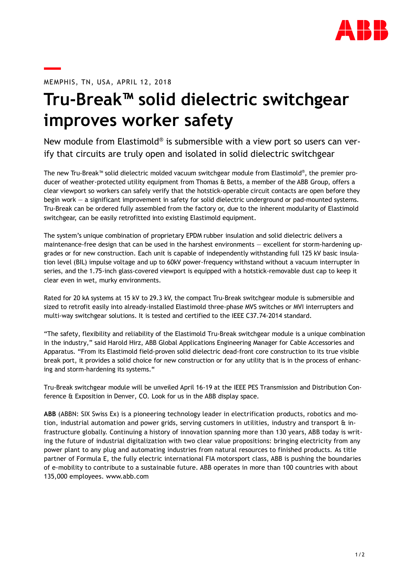

## MEMPHIS, TN, USA, APRIL 12, 2018

## **Tru-Break™ solid dielectric switchgear improves worker safety**

New module from Elastimold® is submersible with a view port so users can verify that circuits are truly open and isolated in solid dielectric switchgear

The new Tru-Break™ solid dielectric molded vacuum switchgear module from Elastimold® , the premier producer of weather-protected utility equipment from Thomas & Betts, a member of the ABB Group, offers a clear viewport so workers can safely verify that the hotstick-operable circuit contacts are open before they begin work — a significant improvement in safety for solid dielectric underground or pad-mounted systems. Tru-Break can be ordered fully assembled from the factory or, due to the inherent modularity of Elastimold switchgear, can be easily retrofitted into existing Elastimold equipment.

The system's unique combination of proprietary EPDM rubber insulation and solid dielectric delivers a maintenance-free design that can be used in the harshest environments — excellent for storm-hardening upgrades or for new construction. Each unit is capable of independently withstanding full 125 kV basic insulation level (BIL) impulse voltage and up to 60kV power-frequency withstand without a vacuum interrupter in series, and the 1.75-inch glass-covered viewport is equipped with a hotstick-removable dust cap to keep it clear even in wet, murky environments.

Rated for 20 kA systems at 15 kV to 29.3 kV, the compact Tru-Break switchgear module is submersible and sized to retrofit easily into already-installed Elastimold three-phase MVS switches or MVI interrupters and multi-way switchgear solutions. It is tested and certified to the IEEE C37.74-2014 standard.

"The safety, flexibility and reliability of the Elastimold Tru-Break switchgear module is a unique combination in the industry," said Harold Hirz, ABB Global Applications Engineering Manager for Cable Accessories and Apparatus. "From its Elastimold field-proven solid dielectric dead-front core construction to its true visible break port, it provides a solid choice for new construction or for any utility that is in the process of enhancing and storm-hardening its systems."

Tru-Break switchgear module will be unveiled April 16-19 at the IEEE PES Transmission and Distribution Conference & Exposition in Denver, CO. Look for us in the ABB display space.

**ABB** (ABBN: SIX Swiss Ex) is a pioneering technology leader in electrification products, robotics and motion, industrial automation and power grids, serving customers in utilities, industry and transport & infrastructure globally. Continuing a history of innovation spanning more than 130 years, ABB today is writing the future of industrial digitalization with two clear value propositions: bringing electricity from any power plant to any plug and automating industries from natural resources to finished products. As title partner of Formula E, the fully electric international FIA motorsport class, ABB is pushing the boundaries of e-mobility to contribute to a sustainable future. ABB operates in more than 100 countries with about 135,000 employees. [www.abb.com](http://www.abb.com/)